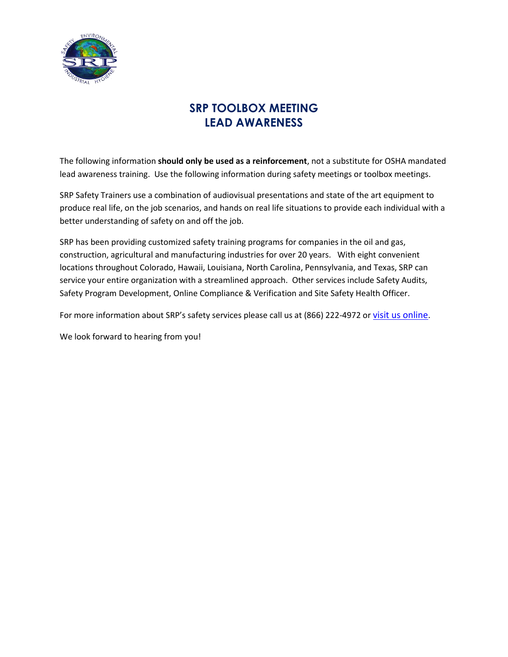

# **SRP TOOLBOX MEETING LEAD AWARENESS**

The following information **should only be used as a reinforcement**, not a substitute for OSHA mandated lead awareness training. Use the following information during safety meetings or toolbox meetings.

SRP Safety Trainers use a combination of audiovisual presentations and state of the art equipment to produce real life, on the job scenarios, and hands on real life situations to provide each individual with a better understanding of safety on and off the job.

SRP has been providing customized safety training programs for companies in the oil and gas, construction, agricultural and manufacturing industries for over 20 years. With eight convenient locations throughout Colorado, Hawaii, Louisiana, North Carolina, Pennsylvania, and Texas, SRP can service your entire organization with a streamlined approach. Other services include Safety Audits, Safety Program Development, Online Compliance & Verification and Site Safety Health Officer.

For more information about SRP's safety services please call us at (866) 222-4972 or [visit us online](http://srpenvironmental.com/environmental-health-safety-training/).

We look forward to hearing from you!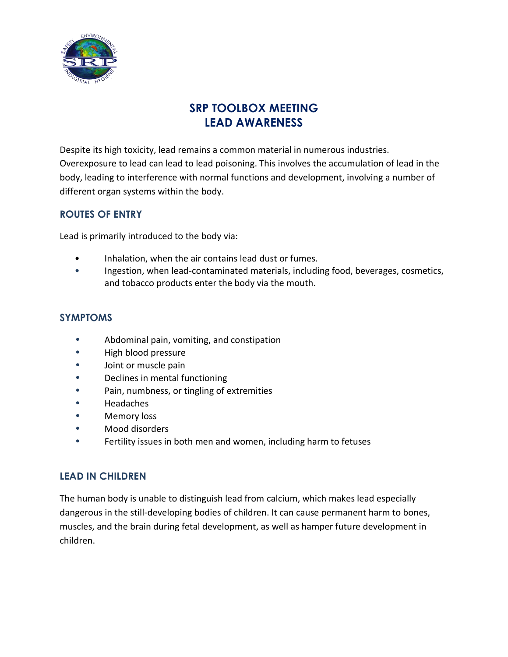

# **SRP TOOLBOX MEETING LEAD AWARENESS**

Despite its high toxicity, lead remains a common material in numerous industries. Overexposure to lead can lead to lead poisoning. This involves the accumulation of lead in the body, leading to interference with normal functions and development, involving a number of different organ systems within the body.

### **ROUTES OF ENTRY**

Lead is primarily introduced to the body via:

- Inhalation, when the air contains lead dust or fumes.
- Ingestion, when lead-contaminated materials, including food, beverages, cosmetics, and tobacco products enter the body via the mouth.

#### **SYMPTOMS**

- **•** Abdominal pain, vomiting, and constipation
- **•** High blood pressure
- **•** Joint or muscle pain
- **•** Declines in mental functioning
- **•** Pain, numbness, or tingling of extremities
- **•** Headaches
- **•** Memory loss
- **•** Mood disorders
- **•** Fertility issues in both men and women, including harm to fetuses

#### **LEAD IN CHILDREN**

The human body is unable to distinguish lead from calcium, which makes lead especially dangerous in the still-developing bodies of children. It can cause permanent harm to bones, muscles, and the brain during fetal development, as well as hamper future development in children.